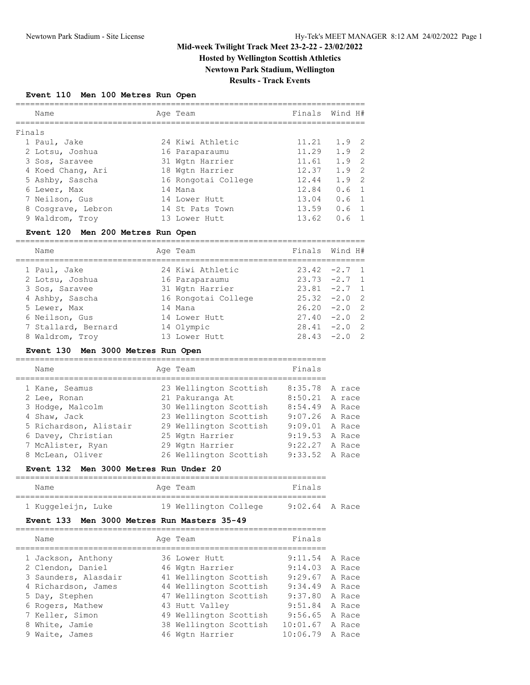# **Hosted by Wellington Scottish Athletics**

**Newtown Park Stadium, Wellington Results - Track Events**

# **Event 110 Men 100 Metres Run Open**

|        | Name               | Age Team            |       | Finals Wind H#        |
|--------|--------------------|---------------------|-------|-----------------------|
| Finals |                    |                     |       |                       |
|        | 1 Paul, Jake       | 24 Kiwi Athletic    | 11.21 | $1.9$ 2               |
|        | 2 Lotsu, Joshua    | 16 Paraparaumu      | 11.29 | $1.9$ 2               |
|        | 3 Sos, Saravee     | 31 Wgtn Harrier     | 11.61 | $1.9$ 2               |
|        | 4 Koed Chang, Ari  | 18 Wgtn Harrier     | 12.37 | $1.9$ 2               |
|        | 5 Ashby, Sascha    | 16 Rongotai College | 12.44 | $1.9$ 2               |
|        | 6 Lewer, Max       | 14 Mana             | 12.84 | $0.6 \quad 1$         |
|        | 7 Neilson, Gus     | 14 Lower Hutt       | 13.04 | $0.6 \quad 1$         |
|        | 8 Cosgrave, Lebron | 14 St Pats Town     | 13.59 | $0.6 \quad 1$         |
|        | 9 Waldrom, Trov    | 13 Lower Hutt       | 13.62 | 0.6<br>$\overline{1}$ |
|        |                    |                     |       |                       |

## **Event 120 Men 200 Metres Run Open**

| Name                | Age Team            | Finals Wind H#  |  |
|---------------------|---------------------|-----------------|--|
| 1 Paul, Jake        | 24 Kiwi Athletic    | $23.42 -2.7$ 1  |  |
| 2 Lotsu, Joshua     | 16 Paraparaumu      | $23.73 -2.7$ 1  |  |
| 3 Sos, Saravee      | 31 Wgtn Harrier     | $23.81 -2.7 1$  |  |
| 4 Ashby, Sascha     | 16 Rongotai College | $25.32 -2.0$ 2  |  |
| 5 Lewer, Max        | 14 Mana             | $26.20 -2.0 2$  |  |
| 6 Neilson, Gus      | 14 Lower Hutt       | $27.40 -2.0$ 2  |  |
| 7 Stallard, Bernard | 14 Olympic          | $28.41 -2.0$ 2  |  |
| 8 Waldrom, Troy     | 13 Lower Hutt       | $28.43 - 2.0$ 2 |  |

## **Event 130 Men 3000 Metres Run Open**

| 23 Wellington Scottish<br>8:35.78 A race<br>1 Kane, Seamus     |        |
|----------------------------------------------------------------|--------|
| 21 Pakuranga At<br>8:50.21<br>2 Lee, Ronan                     | A race |
| 30 Wellington Scottish<br>8:54.49<br>3 Hodge, Malcolm          | A Race |
| 23 Wellington Scottish<br>$9:07.26$ A Race<br>4 Shaw, Jack     |        |
| 29 Wellington Scottish<br>5 Richardson, Alistair<br>9:09.01    | A Race |
| 6 Davey, Christian<br>25 Wgtn Harrier<br>9:19.53               | A Race |
| 7 McAlister, Ryan<br>9:22.27<br>29 Wgtn Harrier                | A Race |
| 26 Wellington Scottish<br>8 McLean, Oliver<br>$9:33.52$ A Race |        |

================================================================

## **Event 132 Men 3000 Metres Run Under 20**

| Name               |  | Age Team              | Finals           |  |  |  |  |  |  |  |  |
|--------------------|--|-----------------------|------------------|--|--|--|--|--|--|--|--|
|                    |  |                       |                  |  |  |  |  |  |  |  |  |
| 1 Kuqqeleijn, Luke |  | 19 Wellington College | $9:02.64$ A Race |  |  |  |  |  |  |  |  |

# **Event 133 Men 3000 Metres Run Masters 35-49**

| Name                 | Age Team               | Finals   |        |
|----------------------|------------------------|----------|--------|
| 1 Jackson, Anthony   | 36 Lower Hutt          | 9:11.54  | A Race |
| 2 Clendon, Daniel    | 46 Wgtn Harrier        | 9:14.03  | A Race |
| 3 Saunders, Alasdair | 41 Wellington Scottish | 9:29.67  | A Race |
| 4 Richardson, James  | 44 Wellington Scottish | 9:34.49  | A Race |
| 5 Day, Stephen       | 47 Wellington Scottish | 9:37.80  | A Race |
| 6 Rogers, Mathew     | 43 Hutt Valley         | 9:51.84  | A Race |
| 7 Keller, Simon      | 49 Wellington Scottish | 9:56.65  | A Race |
| 8 White, Jamie       | 38 Wellington Scottish | 10:01.67 | A Race |
| 9 Waite, James       | 46 Wgtn Harrier        | 10:06.79 | A Race |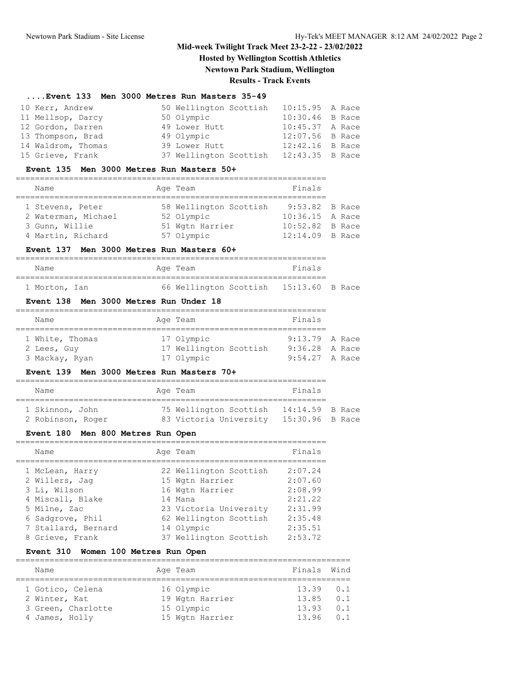**Hosted by Wellington Scottish Athletics**

**Newtown Park Stadium, Wellington**

# **Results - Track Events**

#### **....Event 133 Men 3000 Metres Run Masters 35-49**

| 10 Kerr, Andrew    | 50 Wellington Scottish 10:15.95 A Race |                   |  |
|--------------------|----------------------------------------|-------------------|--|
| 11 Mellsop, Darcy  | 50 Olympic                             | 10:30.46 B Race   |  |
| 12 Gordon, Darren  | 49 Lower Hutt                          | 10:45.37 A Race   |  |
| 13 Thompson, Brad  | 49 Olympic                             | 12:07.56 B Race   |  |
| 14 Waldrom, Thomas | 39 Lower Hutt                          | $12:42.16$ B Race |  |
| 15 Grieve, Frank   | 37 Wellington Scottish 12:43.35 B Race |                   |  |

#### **Event 135 Men 3000 Metres Run Masters 50+**

| Name                | Age Team               | Finals          |  |
|---------------------|------------------------|-----------------|--|
|                     |                        |                 |  |
| 1 Stevens, Peter    | 58 Wellington Scottish | 9:53.82 B Race  |  |
| 2 Waterman, Michael | 52 Olympic             | 10:36.15 A Race |  |
| 3 Gunn, Willie      | 51 Wgtn Harrier        | 10:52.82 B Race |  |
| 4 Martin, Richard   | 57 Olympic             | 12:14.09 B Race |  |

## **Event 137 Men 3000 Metres Run Masters 60+**

|  | Name          |  |  | Age Team |                                        | Finals |  |  |  |  |  |  |
|--|---------------|--|--|----------|----------------------------------------|--------|--|--|--|--|--|--|
|  |               |  |  |          |                                        |        |  |  |  |  |  |  |
|  | 1 Morton, Ian |  |  |          | 66 Wellington Scottish 15:13.60 B Race |        |  |  |  |  |  |  |

#### **Event 138 Men 3000 Metres Run Under 18**

|  | Name            |  | Age Team               | Finals           |  |  |  |  |  |  |  |
|--|-----------------|--|------------------------|------------------|--|--|--|--|--|--|--|
|  |                 |  |                        |                  |  |  |  |  |  |  |  |
|  | 1 White, Thomas |  | 17 Olympic             | $9:13.79$ A Race |  |  |  |  |  |  |  |
|  | 2 Lees, Guy     |  | 17 Wellington Scottish | $9:36.28$ A Race |  |  |  |  |  |  |  |
|  | 3 Mackay, Ryan  |  | 17 Olympic             | $9:54.27$ A Race |  |  |  |  |  |  |  |

#### **Event 139 Men 3000 Metres Run Masters 70+**

|  | Name              |  | Age Team               | Finals            |  |  |  |  |  |  |  |  |
|--|-------------------|--|------------------------|-------------------|--|--|--|--|--|--|--|--|
|  |                   |  |                        |                   |  |  |  |  |  |  |  |  |
|  | 1 Skinnon, John   |  | 75 Wellington Scottish | $14:14.59$ B Race |  |  |  |  |  |  |  |  |
|  | 2 Robinson, Roger |  | 83 Victoria University | 15:30.96 B Race   |  |  |  |  |  |  |  |  |

# **Event 180 Men 800 Metres Run Open**

| Name                | Age Team               | Finals  |
|---------------------|------------------------|---------|
| 1 McLean, Harry     | 22 Wellington Scottish | 2:07.24 |
| 2 Willers, Jaq      | 15 Wgtn Harrier        | 2:07.60 |
| 3 Li, Wilson        | 16 Wgtn Harrier        | 2:08.99 |
| 4 Miscall, Blake    | 14 Mana                | 2:21.22 |
| 5 Milne, Zac        | 23 Victoria University | 2:31.99 |
| 6 Sadgrove, Phil    | 62 Wellington Scottish | 2:35.48 |
| 7 Stallard, Bernard | 14 Olympic             | 2:35.51 |
| 8 Grieve, Frank     | 37 Wellington Scottish | 2:53.72 |

# **Event 310 Women 100 Metres Run Open**

| Name               | Age Team        | Finals Wind    |     |
|--------------------|-----------------|----------------|-----|
|                    |                 |                |     |
| 1 Gotico, Celena   | 16 Olympic      | $13.39 \t 0.1$ |     |
| 2 Winter, Kat      | 19 Wgtn Harrier | 13.85          | 0.1 |
| 3 Green, Charlotte | 15 Olympic      | 13.93          | 0.1 |
| 4 James, Holly     | 15 Wgtn Harrier | $13.96$ 0.1    |     |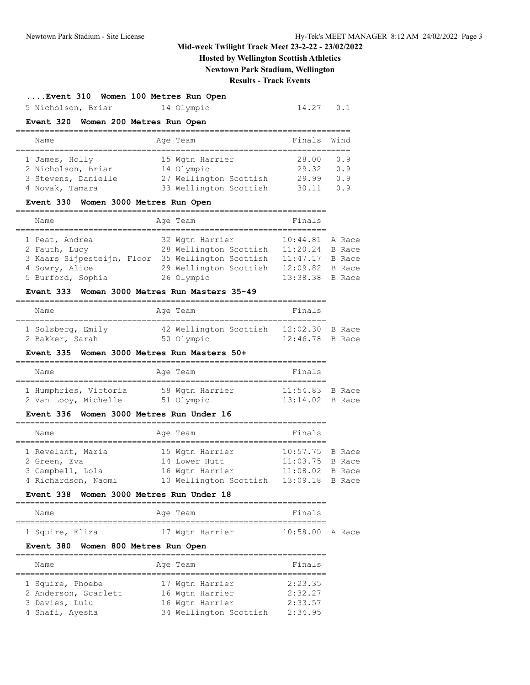# **Hosted by Wellington Scottish Athletics Newtown Park Stadium, Wellington**

# **Results - Track Events**

## **....Event 310 Women 100 Metres Run Open**

5 Nicholson, Briar 14 Olympic 14.27 0.1

# **Event 320 Women 200 Metres Run Open**

|  | Name                |  | Age Team               | Finals Wind |     |  |  |  |  |
|--|---------------------|--|------------------------|-------------|-----|--|--|--|--|
|  |                     |  |                        |             |     |  |  |  |  |
|  | 1 James, Holly      |  | 15 Wgtn Harrier        | 28.00       | O.9 |  |  |  |  |
|  | 2 Nicholson, Briar  |  | 14 Olympic             | 29.32       | 0.9 |  |  |  |  |
|  | 3 Stevens, Danielle |  | 27 Wellington Scottish | 29.99       | 0.9 |  |  |  |  |
|  | 4 Novak, Tamara     |  | 33 Wellington Scottish | 30.11       | n 9 |  |  |  |  |

#### **Event 330 Women 3000 Metres Run Open**

| Name                       | Age Team               | Finals          |  |
|----------------------------|------------------------|-----------------|--|
|                            |                        |                 |  |
| 1 Peat, Andrea             | 32 Wgtn Harrier        | 10:44.81 A Race |  |
| 2 Fauth, Lucy              | 28 Wellington Scottish | 11:20.24 B Race |  |
| 3 Kaars Sijpesteijn, Floor | 35 Wellington Scottish | 11:47.17 B Race |  |
| 4 Sowry, Alice             | 29 Wellington Scottish | 12:09.82 B Race |  |
| 5 Burford, Sophia          | 26 Olympic             | 13:38.38 B Race |  |

#### **Event 333 Women 3000 Metres Run Masters 35-49**

| Name              | Age Team               | Finals            |  |
|-------------------|------------------------|-------------------|--|
| 1 Solsberg, Emily | 42 Wellington Scottish | $12:02.30$ B Race |  |
| 2 Bakker, Sarah   | 50 Olympic             | $12:46.78$ B Race |  |

## **Event 335 Women 3000 Metres Run Masters 50+**

|  | Name                                          |  | Age Team                      | Finals                                 |  |  |  |  |
|--|-----------------------------------------------|--|-------------------------------|----------------------------------------|--|--|--|--|
|  | 1 Humphries, Victoria<br>2 Van Looy, Michelle |  | 58 Wgtn Harrier<br>51 Olympic | $11:54.83$ B Race<br>$13:14.02$ B Race |  |  |  |  |

## **Event 336 Women 3000 Metres Run Under 16**

| Name                | Age Team               | Finals            |  |
|---------------------|------------------------|-------------------|--|
|                     |                        |                   |  |
| 1 Revelant, Maria   | 15 Wgtn Harrier        | 10:57.75 B Race   |  |
| 2 Green, Eva        | 14 Lower Hutt          | 11:03.75 B Race   |  |
| 3 Campbell, Lola    | 16 Wgtn Harrier        | $11:08.02$ B Race |  |
| 4 Richardson, Naomi | 10 Wellington Scottish | $13:09.18$ B Race |  |

## **Event 338 Women 3000 Metres Run Under 18**

| Name            |  | Age Team |                 | Finals            |  |
|-----------------|--|----------|-----------------|-------------------|--|
|                 |  |          |                 |                   |  |
| 1 Squire, Eliza |  |          | 17 Wqtn Harrier | $10:58.00$ A Race |  |

## **Event 380 Women 800 Metres Run Open**

| Name                 | Age Team               | Finals  |
|----------------------|------------------------|---------|
|                      |                        |         |
| 1 Squire, Phoebe     | 17 Wgtn Harrier        | 2:23.35 |
| 2 Anderson, Scarlett | 16 Wgtn Harrier        | 2:32.27 |
| 3 Davies, Lulu       | 16 Wgtn Harrier        | 2:33.57 |
| 4 Shafi, Ayesha      | 34 Wellington Scottish | 2:34.95 |